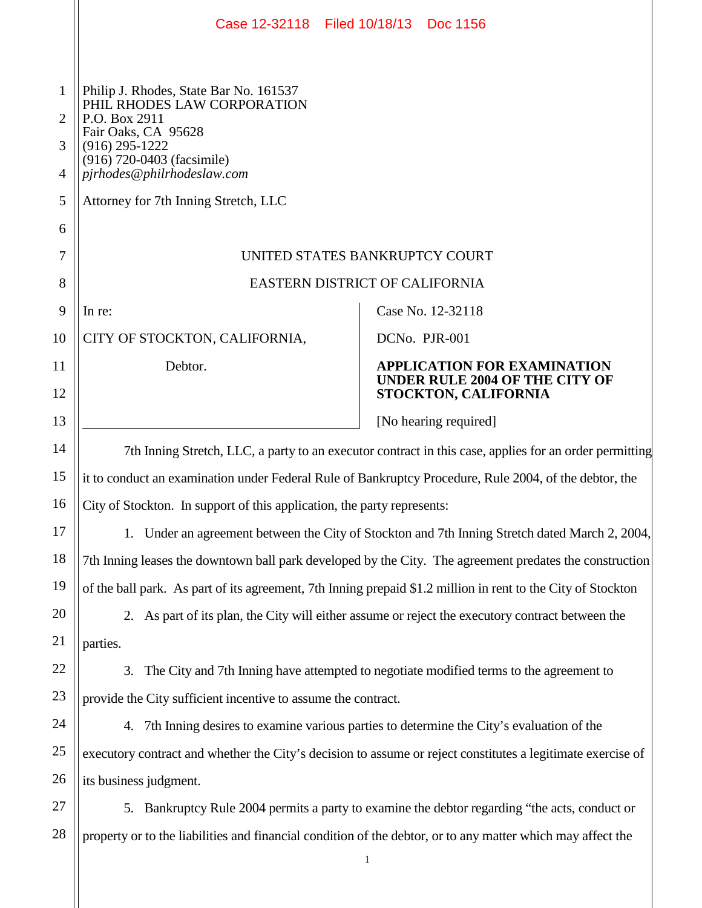|                  | Case 12-32118 Filed 10/18/13 Doc 1156                                                                                                                                                         |               |                                                               |  |
|------------------|-----------------------------------------------------------------------------------------------------------------------------------------------------------------------------------------------|---------------|---------------------------------------------------------------|--|
| 1<br>2<br>3<br>4 | Philip J. Rhodes, State Bar No. 161537<br>PHIL RHODES LAW CORPORATION<br>P.O. Box 2911<br>Fair Oaks, CA 95628<br>$(916)$ 295-1222<br>(916) 720-0403 (facsimile)<br>pjrhodes@philrhodeslaw.com |               |                                                               |  |
| 5                | Attorney for 7th Inning Stretch, LLC                                                                                                                                                          |               |                                                               |  |
| 6                |                                                                                                                                                                                               |               |                                                               |  |
| 7                | UNITED STATES BANKRUPTCY COURT                                                                                                                                                                |               |                                                               |  |
| 8                | EASTERN DISTRICT OF CALIFORNIA                                                                                                                                                                |               |                                                               |  |
| 9                | In re:                                                                                                                                                                                        |               | Case No. 12-32118                                             |  |
| 10               | CITY OF STOCKTON, CALIFORNIA,                                                                                                                                                                 | DCNo. PJR-001 |                                                               |  |
| 11               | Debtor.                                                                                                                                                                                       |               | APPLICATION FOR EXAMINATION<br>UNDER RULE 2004 OF THE CITY OF |  |
| 12               |                                                                                                                                                                                               |               | STOCKTON, CALIFORNIA                                          |  |
| 13               |                                                                                                                                                                                               |               | [No hearing required]                                         |  |
| 14               | 7th Inning Stretch, LLC, a party to an executor contract in this case, applies for an order permitting                                                                                        |               |                                                               |  |
| 15               | it to conduct an examination under Federal Rule of Bankruptcy Procedure, Rule 2004, of the debtor, the                                                                                        |               |                                                               |  |
| 16               | City of Stockton. In support of this application, the party represents:                                                                                                                       |               |                                                               |  |
| 17               | 1. Under an agreement between the City of Stockton and 7th Inning Stretch dated March 2, 2004,                                                                                                |               |                                                               |  |
| 18               | 7th Inning leases the downtown ball park developed by the City. The agreement predates the construction                                                                                       |               |                                                               |  |
| 19               | of the ball park. As part of its agreement, 7th Inning prepaid \$1.2 million in rent to the City of Stockton                                                                                  |               |                                                               |  |
| 20               | 2. As part of its plan, the City will either assume or reject the executory contract between the                                                                                              |               |                                                               |  |
| 21               | parties.                                                                                                                                                                                      |               |                                                               |  |
| 22               | 3.<br>The City and 7th Inning have attempted to negotiate modified terms to the agreement to                                                                                                  |               |                                                               |  |
| 23               | provide the City sufficient incentive to assume the contract.                                                                                                                                 |               |                                                               |  |
| 24               | 7th Inning desires to examine various parties to determine the City's evaluation of the<br>4.                                                                                                 |               |                                                               |  |
| 25               | executory contract and whether the City's decision to assume or reject constitutes a legitimate exercise of                                                                                   |               |                                                               |  |
| 26               | its business judgment.                                                                                                                                                                        |               |                                                               |  |
| 27               | Bankruptcy Rule 2004 permits a party to examine the debtor regarding "the acts, conduct or<br>5.                                                                                              |               |                                                               |  |
| 28               | property or to the liabilities and financial condition of the debtor, or to any matter which may affect the                                                                                   |               |                                                               |  |
|                  |                                                                                                                                                                                               | $\mathbf{1}$  |                                                               |  |